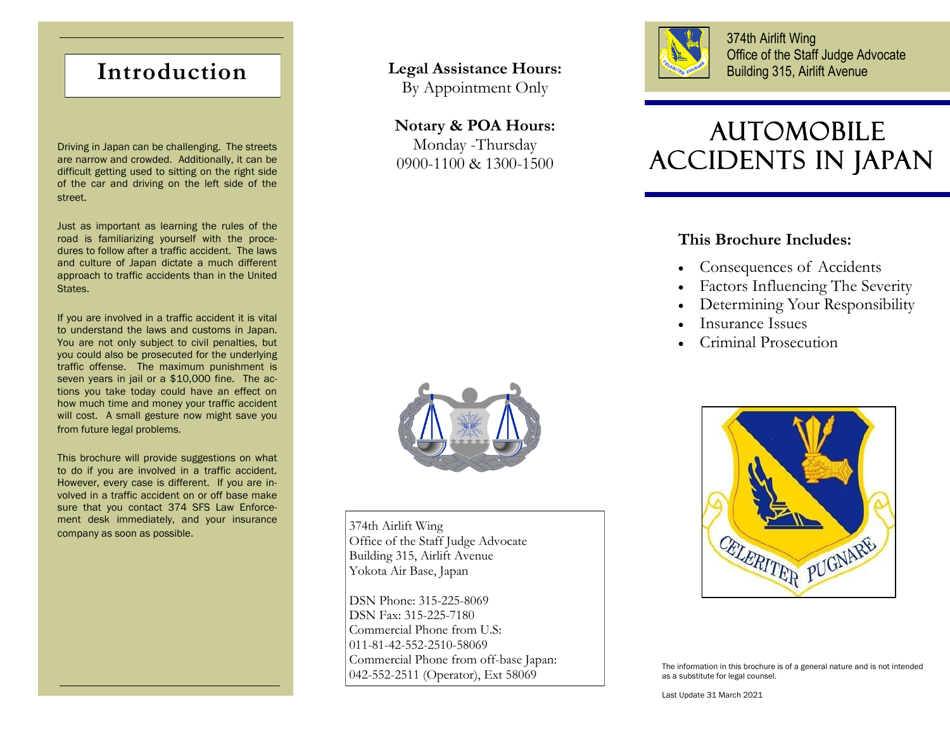## **Introduction**

Driving in Japan can be challenging. The streets are narrow and crowded. Additionally, it can be difficult getting used to sitting on the right side of the car and driving on the left side of the street.

Just as important as learning the rules of the road is familiarizing yourself with the procedures to follow after a traffic accident. The laws and culture of Japan dictate a much different approach to traffic accidents than in the United States.

If you are involved in a traffic accident it is vital to understand the laws and customs in Japan. You are not only subject to civil penalties, but you could also be prosecuted for the underlying traffic offense. The maximum punishment is seven years in jail or a \$10,000 fine. The actions you take today could have an effect on how much time and money your traffic accident will cost. A small gesture now might save you from future legal problems.

This brochure will provide suggestions on what to do if you are involved in a traffic accident. However, every case is different. If you are involved in a traffic accident on or off base make sure that you contact 374 SFS Law Enforcement desk immediately, and your insurance Then these immediately, and your insurance  $374th$  Airlift Wing company as soon as possible.

## **Legal Assistance Hours:**

By Appointment Only

# **Notary & POA Hours:**

Monday -Thursday 0900-1100 & 1300-1500



374th Airlift Wing Office of the Staff Judge Advocate Building 315, Airlift Avenue

# AUTOMOBILE ACCIDENTS IN JAPAN

### **This Brochure Includes:**

- Consequences of Accidents
- Factors Influencing The Severity
- Determining Your Responsibility
- Insurance Issues
- Criminal Prosecution



Office of the Staff Judge Advocate Building 315, Airlift Avenue Yokota Air Base, Japan

DSN Phone: 315-225-8069 DSN Fax: 315-225-7180 Commercial Phone from U.S: 011-81-42-552-2510-58069 Commercial Phone from off-base Japan: 042-552-2511 (Operator), Ext 58069



The information in this brochure is of a general nature and is not intended as a substitute for legal counsel.